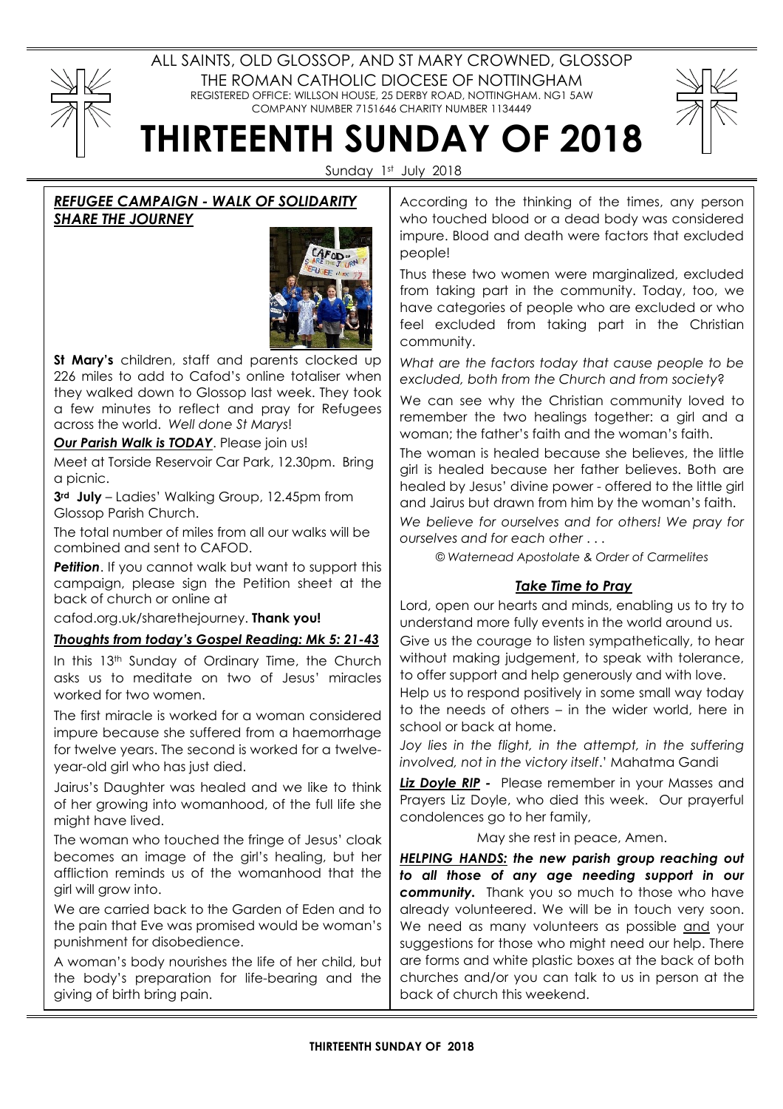# ALL SAINTS, OLD GLOSSOP, AND ST MARY CROWNED, GLOSSOP THE ROMAN CATHOLIC DIOCESE OF NOTTINGHAM REGISTERED OFFICE: WILLSON HOUSE, 25 DERBY ROAD, NOTTINGHAM. NG1 5AW COMPANY NUMBER 7151646 CHARITY NUMBER 1134449



THIRTEENTH SUNDAY OF 2018

Sunday 1st July 2018

# REFUGEE CAMPAIGN - WALK OF SOLIDARITY SHARE THE JOURNEY



St Mary's children, staff and parents clocked up 226 miles to add to Cafod's online totaliser when they walked down to Glossop last week. They took a few minutes to reflect and pray for Refugees across the world. Well done St Marys!

Our Parish Walk is TODAY. Please join us!

Meet at Torside Reservoir Car Park, 12.30pm. Bring a picnic.

3<sup>rd</sup> July – Ladies' Walking Group, 12.45pm from Glossop Parish Church.

The total number of miles from all our walks will be combined and sent to CAFOD.

Petition. If you cannot walk but want to support this campaign, please sign the Petition sheet at the back of church or online at

cafod.org.uk/sharethejourney. Thank you!

# Thoughts from today's Gospel Reading: Mk 5: 21-43

In this 13<sup>th</sup> Sunday of Ordinary Time, the Church asks us to meditate on two of Jesus' miracles worked for two women.

The first miracle is worked for a woman considered impure because she suffered from a haemorrhage for twelve years. The second is worked for a twelveyear-old girl who has just died.

Jairus's Daughter was healed and we like to think of her growing into womanhood, of the full life she might have lived.

The woman who touched the fringe of Jesus' cloak becomes an image of the girl's healing, but her affliction reminds us of the womanhood that the girl will grow into.

We are carried back to the Garden of Eden and to the pain that Eve was promised would be woman's punishment for disobedience.

A woman's body nourishes the life of her child, but the body's preparation for life-bearing and the giving of birth bring pain.

According to the thinking of the times, any person who touched blood or a dead body was considered impure. Blood and death were factors that excluded people!

Thus these two women were marginalized, excluded from taking part in the community. Today, too, we have categories of people who are excluded or who feel excluded from taking part in the Christian community.

What are the factors today that cause people to be excluded, both from the Church and from society?

We can see why the Christian community loved to remember the two healings together: a girl and a woman; the father's faith and the woman's faith.

The woman is healed because she believes, the little girl is healed because her father believes. Both are healed by Jesus' divine power - offered to the little girl and Jairus but drawn from him by the woman's faith.

We believe for ourselves and for others! We pray for ourselves and for each other . . .

© Waternead Apostolate & Order of Carmelites

# Take Time to Pray

Lord, open our hearts and minds, enabling us to try to understand more fully events in the world around us. Give us the courage to listen sympathetically, to hear without making judgement, to speak with tolerance, to offer support and help generously and with love.

Help us to respond positively in some small way today to the needs of others – in the wider world, here in school or back at home.

Joy lies in the flight, in the attempt, in the suffering involved, not in the victory itself.' Mahatma Gandi

Liz Doyle RIP - Please remember in your Masses and Prayers Liz Doyle, who died this week. Our prayerful condolences go to her family,

May she rest in peace, Amen.

HELPING HANDS: the new parish group reaching out to all those of any age needing support in our community. Thank you so much to those who have already volunteered. We will be in touch very soon. We need as many volunteers as possible and your suggestions for those who might need our help. There are forms and white plastic boxes at the back of both churches and/or you can talk to us in person at the back of church this weekend.